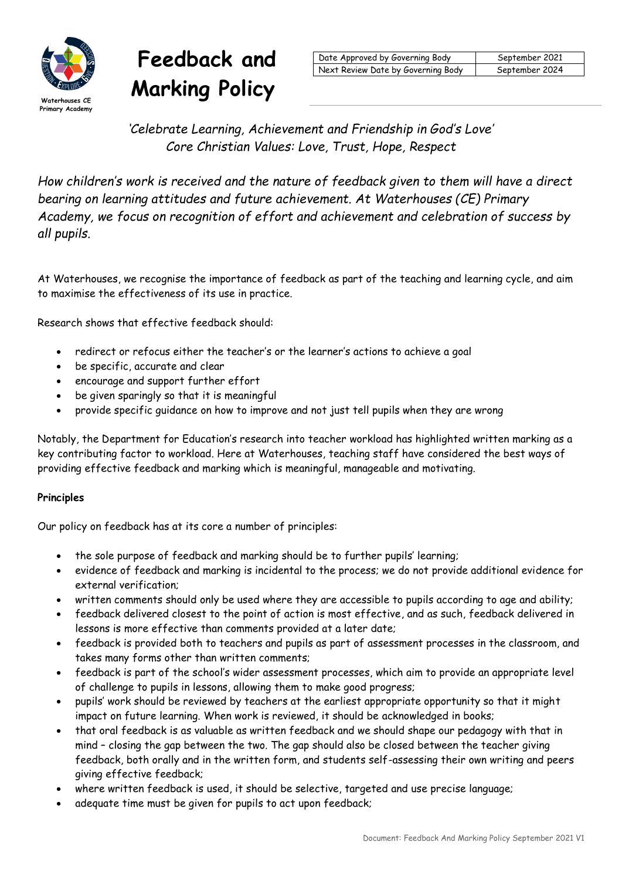

# **Feedback and**  Warking Policy

| Date Approved by Governing Body    | September 2021 |
|------------------------------------|----------------|
| Next Review Date by Governing Body | September 2024 |

*'Celebrate Learning, Achievement and Friendship in God's Love' Core Christian Values: Love, Trust, Hope, Respect*

*How children's work is received and the nature of feedback given to them will have a direct bearing on learning attitudes and future achievement. At Waterhouses (CE) Primary Academy, we focus on recognition of effort and achievement and celebration of success by all pupils.*

At Waterhouses, we recognise the importance of feedback as part of the teaching and learning cycle, and aim to maximise the effectiveness of its use in practice.

Research shows that effective feedback should:

- redirect or refocus either the teacher's or the learner's actions to achieve a goal
- be specific, accurate and clear
- encourage and support further effort
- be given sparingly so that it is meaningful
- provide specific guidance on how to improve and not just tell pupils when they are wrong

Notably, the Department for Education's research into teacher workload has highlighted written marking as a key contributing factor to workload. Here at Waterhouses, teaching staff have considered the best ways of providing effective feedback and marking which is meaningful, manageable and motivating.

## **Principles**

Our policy on feedback has at its core a number of principles:

- the sole purpose of feedback and marking should be to further pupils' learning;
- evidence of feedback and marking is incidental to the process; we do not provide additional evidence for external verification;
- written comments should only be used where they are accessible to pupils according to age and ability;
- feedback delivered closest to the point of action is most effective, and as such, feedback delivered in lessons is more effective than comments provided at a later date;
- feedback is provided both to teachers and pupils as part of assessment processes in the classroom, and takes many forms other than written comments;
- feedback is part of the school's wider assessment processes, which aim to provide an appropriate level of challenge to pupils in lessons, allowing them to make good progress;
- pupils' work should be reviewed by teachers at the earliest appropriate opportunity so that it might impact on future learning. When work is reviewed, it should be acknowledged in books;
- that oral feedback is as valuable as written feedback and we should shape our pedagogy with that in mind – closing the gap between the two. The gap should also be closed between the teacher giving feedback, both orally and in the written form, and students self-assessing their own writing and peers giving effective feedback;
- where written feedback is used, it should be selective, targeted and use precise language;
- adequate time must be given for pupils to act upon feedback;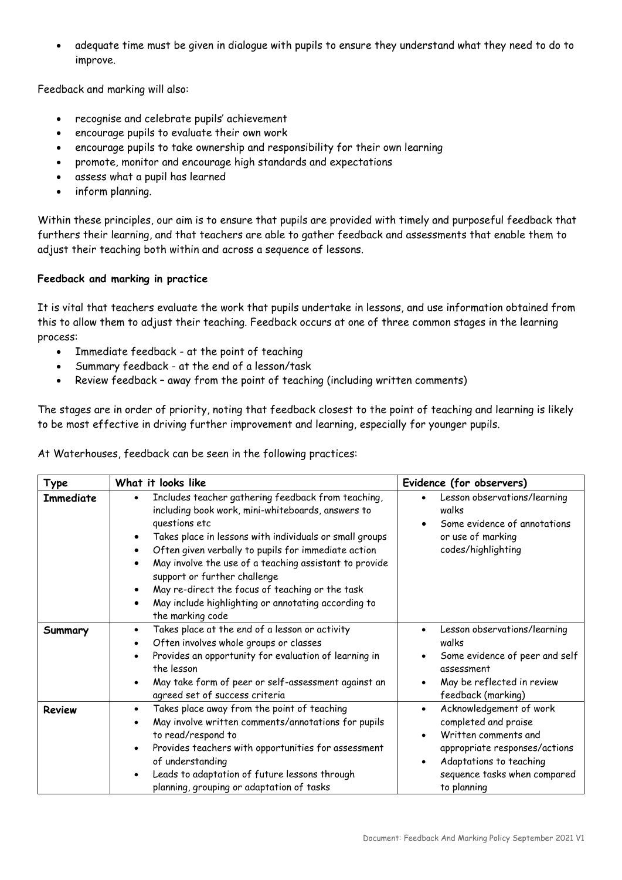adequate time must be given in dialogue with pupils to ensure they understand what they need to do to improve.

Feedback and marking will also:

- recognise and celebrate pupils' achievement
- encourage pupils to evaluate their own work
- encourage pupils to take ownership and responsibility for their own learning
- promote, monitor and encourage high standards and expectations
- assess what a pupil has learned
- inform planning.

Within these principles, our aim is to ensure that pupils are provided with timely and purposeful feedback that furthers their learning, and that teachers are able to gather feedback and assessments that enable them to adjust their teaching both within and across a sequence of lessons.

# **Feedback and marking in practice**

It is vital that teachers evaluate the work that pupils undertake in lessons, and use information obtained from this to allow them to adjust their teaching. Feedback occurs at one of three common stages in the learning process:

- Immediate feedback at the point of teaching
- Summary feedback at the end of a lesson/task
- Review feedback away from the point of teaching (including written comments)

The stages are in order of priority, noting that feedback closest to the point of teaching and learning is likely to be most effective in driving further improvement and learning, especially for younger pupils.

At Waterhouses, feedback can be seen in the following practices:

| Type             | What it looks like                                                                                                                                                                                                                                                                                                                                                                                                                                                                                                                               | Evidence (for observers)                                                                                                                                                           |
|------------------|--------------------------------------------------------------------------------------------------------------------------------------------------------------------------------------------------------------------------------------------------------------------------------------------------------------------------------------------------------------------------------------------------------------------------------------------------------------------------------------------------------------------------------------------------|------------------------------------------------------------------------------------------------------------------------------------------------------------------------------------|
| <b>Immediate</b> | Includes teacher gathering feedback from teaching,<br>$\bullet$<br>including book work, mini-whiteboards, answers to<br>questions etc<br>Takes place in lessons with individuals or small groups<br>$\bullet$<br>Often given verbally to pupils for immediate action<br>$\bullet$<br>May involve the use of a teaching assistant to provide<br>$\bullet$<br>support or further challenge<br>May re-direct the focus of teaching or the task<br>$\bullet$<br>May include highlighting or annotating according to<br>$\bullet$<br>the marking code | Lesson observations/learning<br>walks<br>Some evidence of annotations<br>or use of marking<br>codes/highlighting                                                                   |
| Summary          | Takes place at the end of a lesson or activity<br>$\bullet$<br>Often involves whole groups or classes<br>$\bullet$<br>Provides an opportunity for evaluation of learning in<br>$\bullet$<br>the lesson<br>May take form of peer or self-assessment against an<br>$\bullet$<br>agreed set of success criteria                                                                                                                                                                                                                                     | Lesson observations/learning<br>walks<br>Some evidence of peer and self<br>assessment<br>May be reflected in review<br>feedback (marking)                                          |
| <b>Review</b>    | Takes place away from the point of teaching<br>$\bullet$<br>May involve written comments/annotations for pupils<br>$\bullet$<br>to read/respond to<br>Provides teachers with opportunities for assessment<br>$\bullet$<br>of understanding<br>Leads to adaptation of future lessons through<br>$\bullet$<br>planning, grouping or adaptation of tasks                                                                                                                                                                                            | Acknowledgement of work<br>completed and praise<br>Written comments and<br>appropriate responses/actions<br>Adaptations to teaching<br>sequence tasks when compared<br>to planning |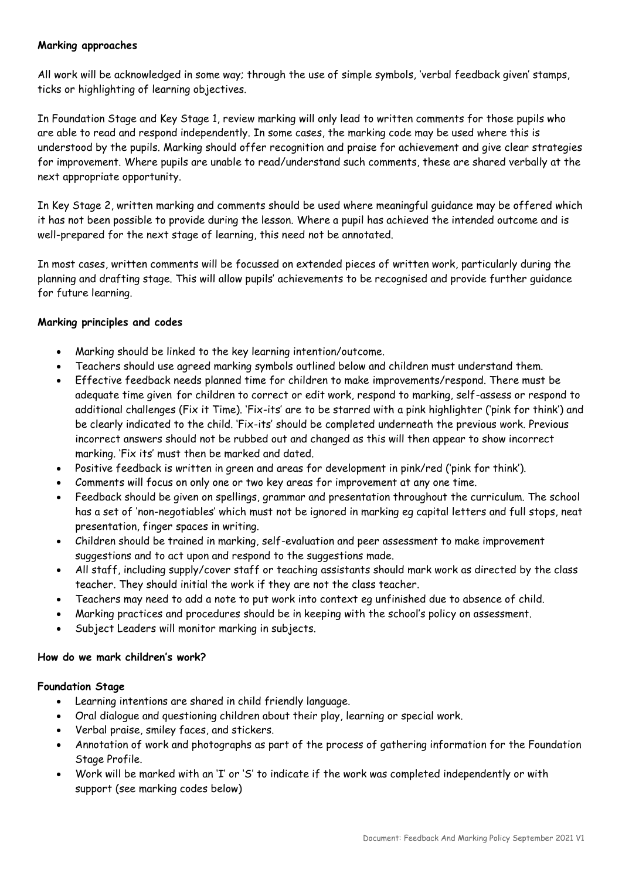## **Marking approaches**

All work will be acknowledged in some way; through the use of simple symbols, 'verbal feedback given' stamps, ticks or highlighting of learning objectives.

In Foundation Stage and Key Stage 1, review marking will only lead to written comments for those pupils who are able to read and respond independently. In some cases, the marking code may be used where this is understood by the pupils. Marking should offer recognition and praise for achievement and give clear strategies for improvement. Where pupils are unable to read/understand such comments, these are shared verbally at the next appropriate opportunity.

In Key Stage 2, written marking and comments should be used where meaningful guidance may be offered which it has not been possible to provide during the lesson. Where a pupil has achieved the intended outcome and is well-prepared for the next stage of learning, this need not be annotated.

In most cases, written comments will be focussed on extended pieces of written work, particularly during the planning and drafting stage. This will allow pupils' achievements to be recognised and provide further guidance for future learning.

## **Marking principles and codes**

- Marking should be linked to the key learning intention/outcome.
- Teachers should use agreed marking symbols outlined below and children must understand them.
- Effective feedback needs planned time for children to make improvements/respond. There must be adequate time given for children to correct or edit work, respond to marking, self-assess or respond to additional challenges (Fix it Time). 'Fix-its' are to be starred with a pink highlighter ('pink for think') and be clearly indicated to the child. 'Fix-its' should be completed underneath the previous work. Previous incorrect answers should not be rubbed out and changed as this will then appear to show incorrect marking. 'Fix its' must then be marked and dated.
- Positive feedback is written in green and areas for development in pink/red ('pink for think').
- Comments will focus on only one or two key areas for improvement at any one time.
- Feedback should be given on spellings, grammar and presentation throughout the curriculum. The school has a set of 'non-negotiables' which must not be ignored in marking eg capital letters and full stops, neat presentation, finger spaces in writing.
- Children should be trained in marking, self-evaluation and peer assessment to make improvement suggestions and to act upon and respond to the suggestions made.
- All staff, including supply/cover staff or teaching assistants should mark work as directed by the class teacher. They should initial the work if they are not the class teacher.
- Teachers may need to add a note to put work into context eg unfinished due to absence of child.
- Marking practices and procedures should be in keeping with the school's policy on assessment.
- Subject Leaders will monitor marking in subjects.

#### **How do we mark children's work?**

#### **Foundation Stage**

- Learning intentions are shared in child friendly language.
- Oral dialogue and questioning children about their play, learning or special work.
- Verbal praise, smiley faces, and stickers.
- Annotation of work and photographs as part of the process of gathering information for the Foundation Stage Profile.
- Work will be marked with an 'I' or 'S' to indicate if the work was completed independently or with support (see marking codes below)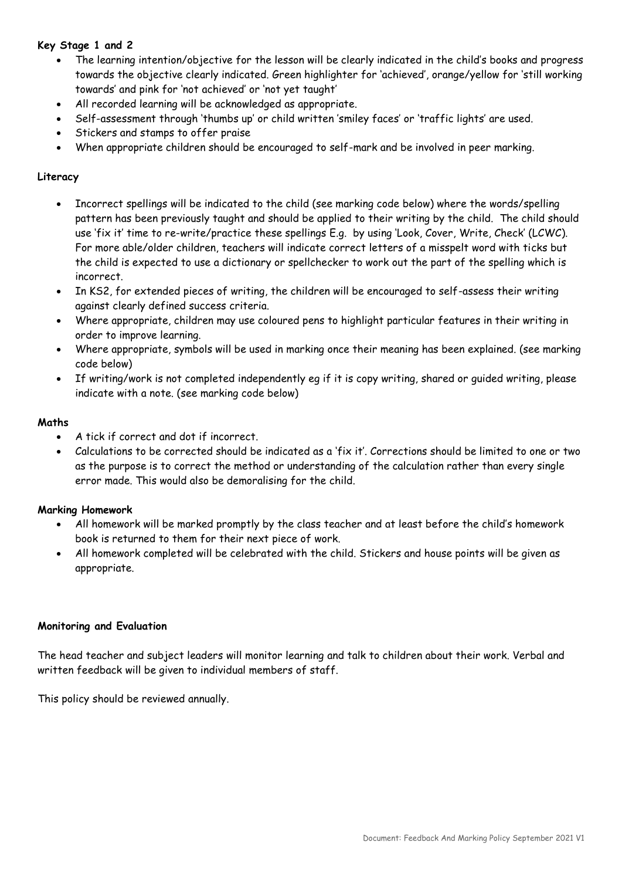## **Key Stage 1 and 2**

- The learning intention/objective for the lesson will be clearly indicated in the child's books and progress towards the objective clearly indicated. Green highlighter for 'achieved', orange/yellow for 'still working towards' and pink for 'not achieved' or 'not yet taught'
- All recorded learning will be acknowledged as appropriate.
- Self-assessment through 'thumbs up' or child written 'smiley faces' or 'traffic lights' are used.
- Stickers and stamps to offer praise
- When appropriate children should be encouraged to self-mark and be involved in peer marking.

## **Literacy**

- Incorrect spellings will be indicated to the child (see marking code below) where the words/spelling pattern has been previously taught and should be applied to their writing by the child. The child should use 'fix it' time to re-write/practice these spellings E.g. by using 'Look, Cover, Write, Check' (LCWC). For more able/older children, teachers will indicate correct letters of a misspelt word with ticks but the child is expected to use a dictionary or spellchecker to work out the part of the spelling which is incorrect.
- In KS2, for extended pieces of writing, the children will be encouraged to self-assess their writing against clearly defined success criteria.
- Where appropriate, children may use coloured pens to highlight particular features in their writing in order to improve learning.
- Where appropriate, symbols will be used in marking once their meaning has been explained. (see marking code below)
- If writing/work is not completed independently eg if it is copy writing, shared or guided writing, please indicate with a note. (see marking code below)

## **Maths**

- A tick if correct and dot if incorrect.
- Calculations to be corrected should be indicated as a 'fix it'. Corrections should be limited to one or two as the purpose is to correct the method or understanding of the calculation rather than every single error made. This would also be demoralising for the child.

## **Marking Homework**

- All homework will be marked promptly by the class teacher and at least before the child's homework book is returned to them for their next piece of work.
- All homework completed will be celebrated with the child. Stickers and house points will be given as appropriate.

#### **Monitoring and Evaluation**

The head teacher and subject leaders will monitor learning and talk to children about their work. Verbal and written feedback will be given to individual members of staff.

This policy should be reviewed annually.